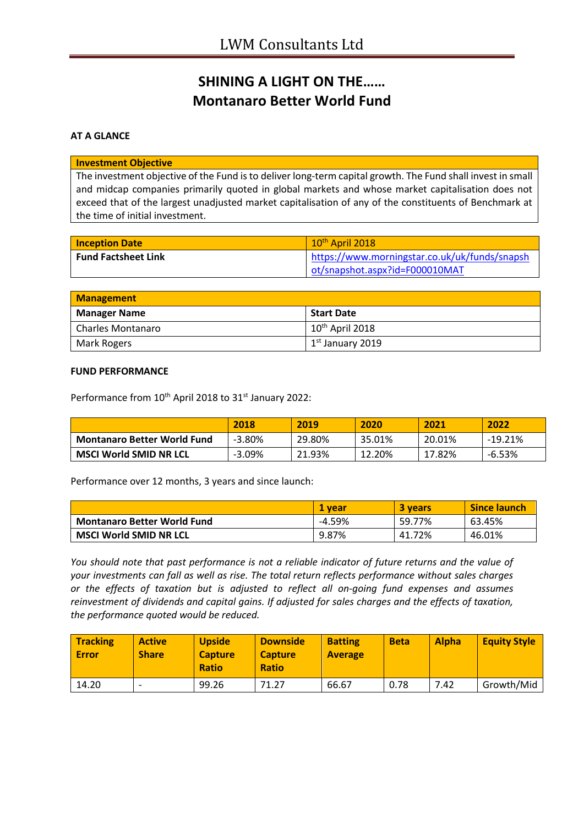# **SHINING A LIGHT ON THE…… Montanaro Better World Fund**

## **AT A GLANCE**

### **Investment Objective**

The investment objective of the Fund is to deliver long-term capital growth. The Fund shall invest in small and midcap companies primarily quoted in global markets and whose market capitalisation does not exceed that of the largest unadjusted market capitalisation of any of the constituents of Benchmark at the time of initial investment.

| <b>Inception Date</b>      | $10th$ April 2018                             |
|----------------------------|-----------------------------------------------|
| <b>Fund Factsheet Link</b> | https://www.morningstar.co.uk/uk/funds/snapsh |
|                            | ot/snapshot.aspx?id=F000010MAT                |

| <b>Management</b>        |                             |  |
|--------------------------|-----------------------------|--|
| <b>Manager Name</b>      | Start Date                  |  |
| <b>Charles Montanaro</b> | 10 <sup>th</sup> April 2018 |  |
| Mark Rogers              | $1st$ January 2019          |  |

#### **FUND PERFORMANCE**

Performance from 10<sup>th</sup> April 2018 to 31<sup>st</sup> January 2022:

|                                    | 2018      | 2019   | 2020   | 2021   | 2022      |
|------------------------------------|-----------|--------|--------|--------|-----------|
| <b>Montanaro Better World Fund</b> | $-3.80%$  | 29.80% | 35.01% | 20.01% | $-19.21%$ |
| <b>MSCI World SMID NR LCL</b>      | $-3.09\%$ | 21.93% | 12.20% | 17.82% | $-6.53%$  |

Performance over 12 months, 3 years and since launch:

|                                    | 1 vear   | 3 years | <b>Since launch</b> |
|------------------------------------|----------|---------|---------------------|
| <b>Montanaro Better World Fund</b> | $-4.59%$ | 59.77%  | 63.45%              |
| <b>MSCI World SMID NR LCL</b>      | 9.87%    | 41.72%  | 46.01%              |

*You should note that past performance is not a reliable indicator of future returns and the value of your investments can fall as well as rise. The total return reflects performance without sales charges or the effects of taxation but is adjusted to reflect all on-going fund expenses and assumes reinvestment of dividends and capital gains. If adjusted for sales charges and the effects of taxation, the performance quoted would be reduced.*

| <b>Tracking</b><br><b>Error</b> | <b>Active</b><br><b>Share</b> | <b>Upside</b><br><b>Capture</b><br><b>Ratio</b> | <b>Downside</b><br><b>Capture</b><br><b>Ratio</b> | <b>Batting</b><br><b>Average</b> | <b>Beta</b> | <b>Alpha</b> | <b>Equity Style</b> |
|---------------------------------|-------------------------------|-------------------------------------------------|---------------------------------------------------|----------------------------------|-------------|--------------|---------------------|
| 14.20                           | -                             | 99.26                                           | 71.27                                             | 66.67                            | 0.78        | 7.42         | Growth/Mid          |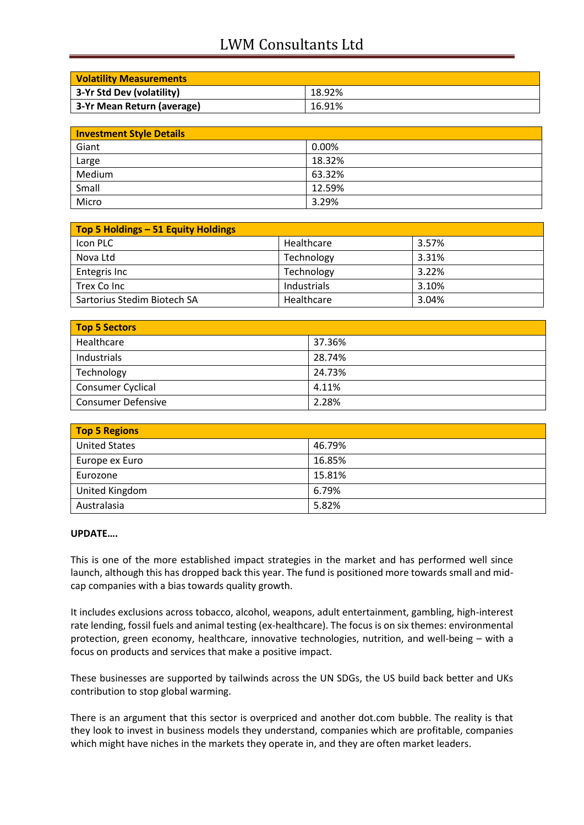# LWM Consultants Ltd

| <b>Volatility Measurements</b> |        |
|--------------------------------|--------|
| 3-Yr Std Dev (volatility)      | 18.92% |
| 3-Yr Mean Return (average)     | 16.91% |

| <b>Investment Style Details</b> |        |  |
|---------------------------------|--------|--|
| Giant                           | 0.00%  |  |
| Large                           | 18.32% |  |
| Medium                          | 63.32% |  |
| Small                           | 12.59% |  |
| Micro                           | 3.29%  |  |

| Top 5 Holdings - 51 Equity Holdings |             |       |
|-------------------------------------|-------------|-------|
| Icon PLC                            | Healthcare  | 3.57% |
| Nova Ltd                            | Technology  | 3.31% |
| Entegris Inc                        | Technology  | 3.22% |
| Trex Co Inc                         | Industrials | 3.10% |
| Sartorius Stedim Biotech SA         | Healthcare  | 3.04% |

| Top 5 Sectors             |        |  |
|---------------------------|--------|--|
| Healthcare                | 37.36% |  |
| Industrials               | 28.74% |  |
| Technology                | 24.73% |  |
| Consumer Cyclical         | 4.11%  |  |
| <b>Consumer Defensive</b> | 2.28%  |  |

| <b>Top 5 Regions</b> |        |  |
|----------------------|--------|--|
| <b>United States</b> | 46.79% |  |
| Europe ex Euro       | 16.85% |  |
| Eurozone             | 15.81% |  |
| United Kingdom       | 6.79%  |  |
| Australasia          | 5.82%  |  |

## **UPDATE….**

This is one of the more established impact strategies in the market and has performed well since launch, although this has dropped back this year. The fund is positioned more towards small and midcap companies with a bias towards quality growth.

It includes exclusions across tobacco, alcohol, weapons, adult entertainment, gambling, high-interest rate lending, fossil fuels and animal testing (ex-healthcare). The focus is on six themes: environmental protection, green economy, healthcare, innovative technologies, nutrition, and well-being – with a focus on products and services that make a positive impact.

These businesses are supported by tailwinds across the UN SDGs, the US build back better and UKs contribution to stop global warming.

There is an argument that this sector is overpriced and another dot.com bubble. The reality is that they look to invest in business models they understand, companies which are profitable, companies which might have niches in the markets they operate in, and they are often market leaders.